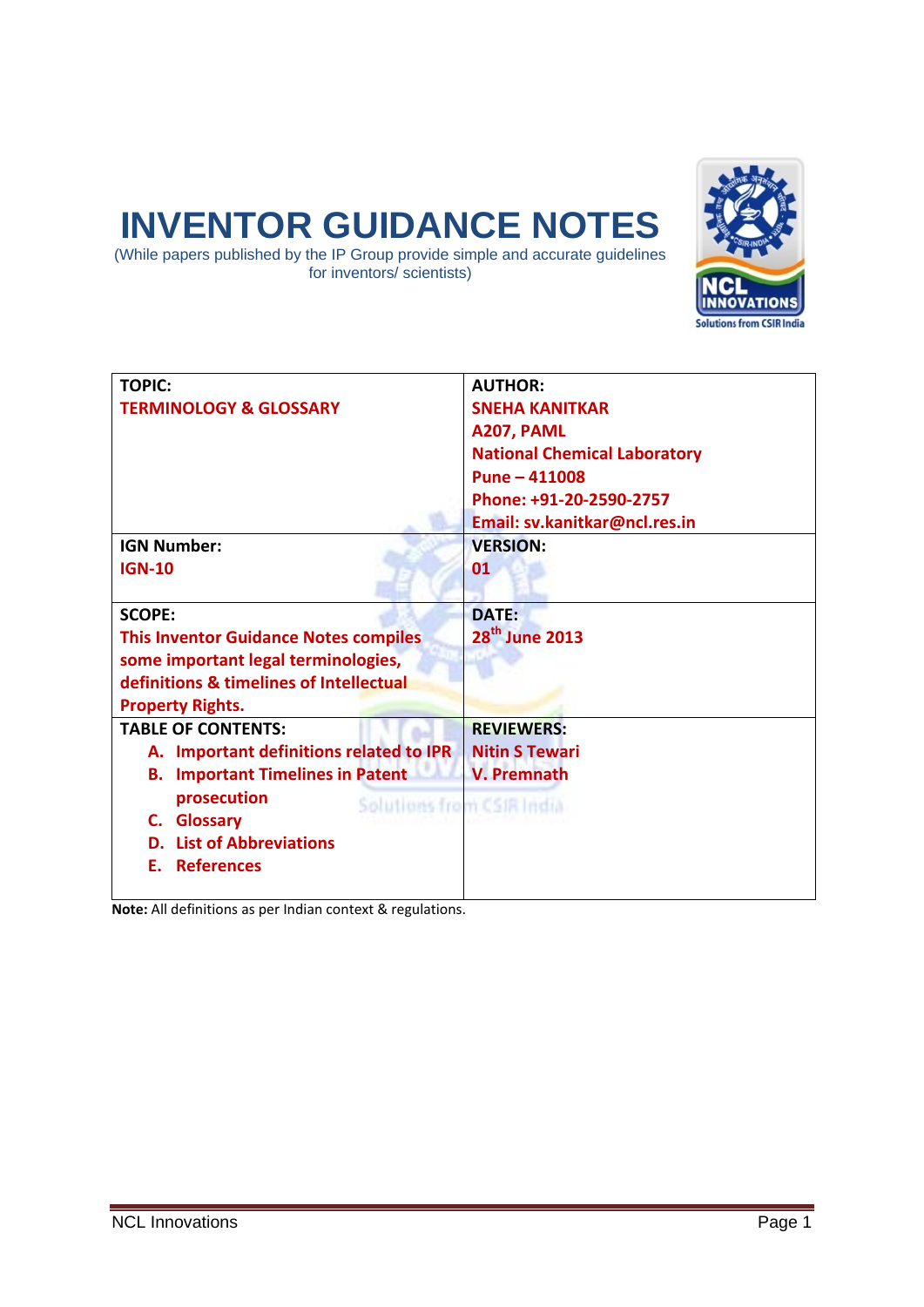# **INVENTOR GUIDANCE NOTES**

(While papers published by the IP Group provide simple and accurate guidelines for inventors/ scientists)



| <b>TOPIC:</b>                                | <b>AUTHOR:</b>                      |
|----------------------------------------------|-------------------------------------|
| <b>TERMINOLOGY &amp; GLOSSARY</b>            | <b>SNEHA KANITKAR</b>               |
|                                              | A207, PAML                          |
|                                              | <b>National Chemical Laboratory</b> |
|                                              | $Pune - 411008$                     |
|                                              | Phone: +91-20-2590-2757             |
|                                              | Email: sv.kanitkar@ncl.res.in       |
| <b>IGN Number:</b>                           | <b>VERSION:</b>                     |
| <b>IGN-10</b>                                | 01                                  |
|                                              |                                     |
| <b>SCOPE:</b>                                | <b>DATE:</b>                        |
| <b>This Inventor Guidance Notes compiles</b> | 28 <sup>th</sup> June 2013          |
| some important legal terminologies,          |                                     |
| definitions & timelines of Intellectual      |                                     |
| <b>Property Rights.</b>                      |                                     |
| <b>TABLE OF CONTENTS:</b>                    | <b>REVIEWERS:</b>                   |
| A. Important definitions related to IPR      | <b>Nitin S Tewari</b>               |
| <b>B. Important Timelines in Patent</b>      | <b>V. Premnath</b>                  |
| prosecution                                  | Solutions from CSIR India           |
| C. Glossary                                  |                                     |
| <b>D.</b> List of Abbreviations              |                                     |
| <b>References</b><br>F.                      |                                     |
|                                              |                                     |

**Note:** All definitions as per Indian context & regulations.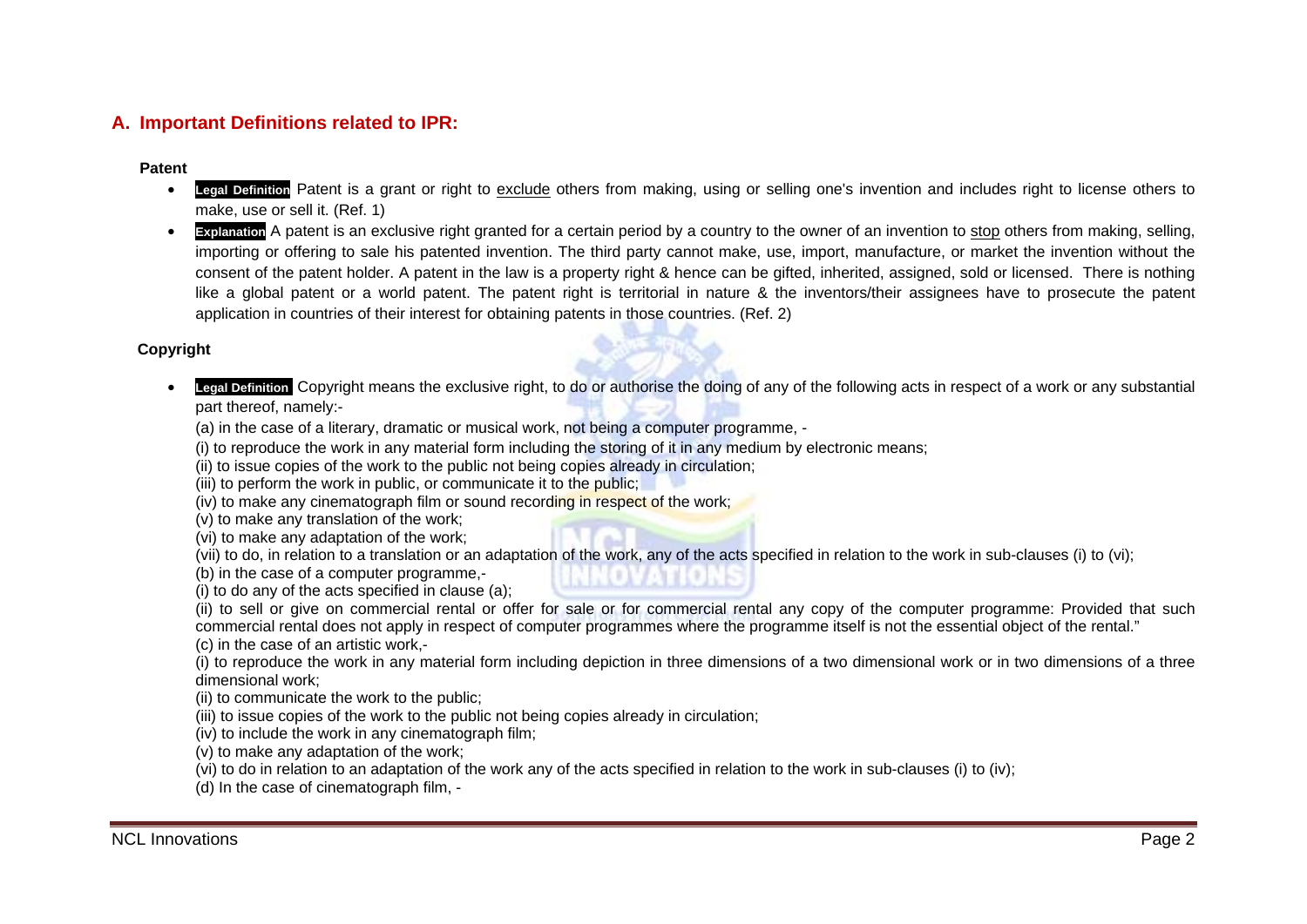### **A. Important Definitions related to IPR:**

#### **Patent**

- • **Legal Definition** Patent is a grant or right to exclude others from making, using or selling one's invention and includes right to license others to make, use or sell it. (Ref. 1)
- • **Explanation** A patent is an exclusive right granted for a certain period by a country to the owner of an invention to stop others from making, selling, importing or offering to sale his patented invention. The third party cannot make, use, import, manufacture, or market the invention without the consent of the patent holder. A patent in the law is a property right & hence can be gifted, inherited, assigned, sold or licensed. There is nothing like a global patent or a world patent. The patent right is territorial in nature & the inventors/their assignees have to prosecute the patent application in countries of their interest for obtaining patents in those countries. (Ref. 2)

### **Copyright**

• **Legal Definition** Copyright means the exclusive right, to do or authorise the doing of any of the following acts in respect of a work or any substantial part thereof, namely:-

(a) in the case of a literary, dramatic or musical work, not being a computer programme, -

(i) to reproduce the work in any material form including the storing of it in any medium by electronic means;

(ii) to issue copies of the work to the public not being copies already in circulation;

(iii) to perform the work in public, or communicate it to the public;

(iv) to make any cinematograph film or sound recording in respect of the work;

(v) to make any translation of the work;

(vi) to make any adaptation of the work;

(vii) to do, in relation to a translation or an adaptation of the work, any of the acts specified in relation to the work in sub-clauses (i) to (vi);

(b) in the case of a computer programme,-

(i) to do any of the acts specified in clause (a);

(ii) to sell or give on commercial rental or offer for sale or for commercial rental any copy of the computer programme: Provided that such commercial rental does not apply in respect of computer programmes where the programme itself is not the essential object of the rental."

(c) in the case of an artistic work,-

(i) to reproduce the work in any material form including depiction in three dimensions of a two dimensional work or in two dimensions of a three dimensional work;

(ii) to communicate the work to the public;

(iii) to issue copies of the work to the public not being copies already in circulation;

 $(iv)$  to include the work in any cinematograph film;

(v) to make any adaptation of the work;

(vi) to do in relation to an adaptation of the work any of the acts specified in relation to the work in sub-clauses (i) to (iv);

(d) In the case of cinematograph film, -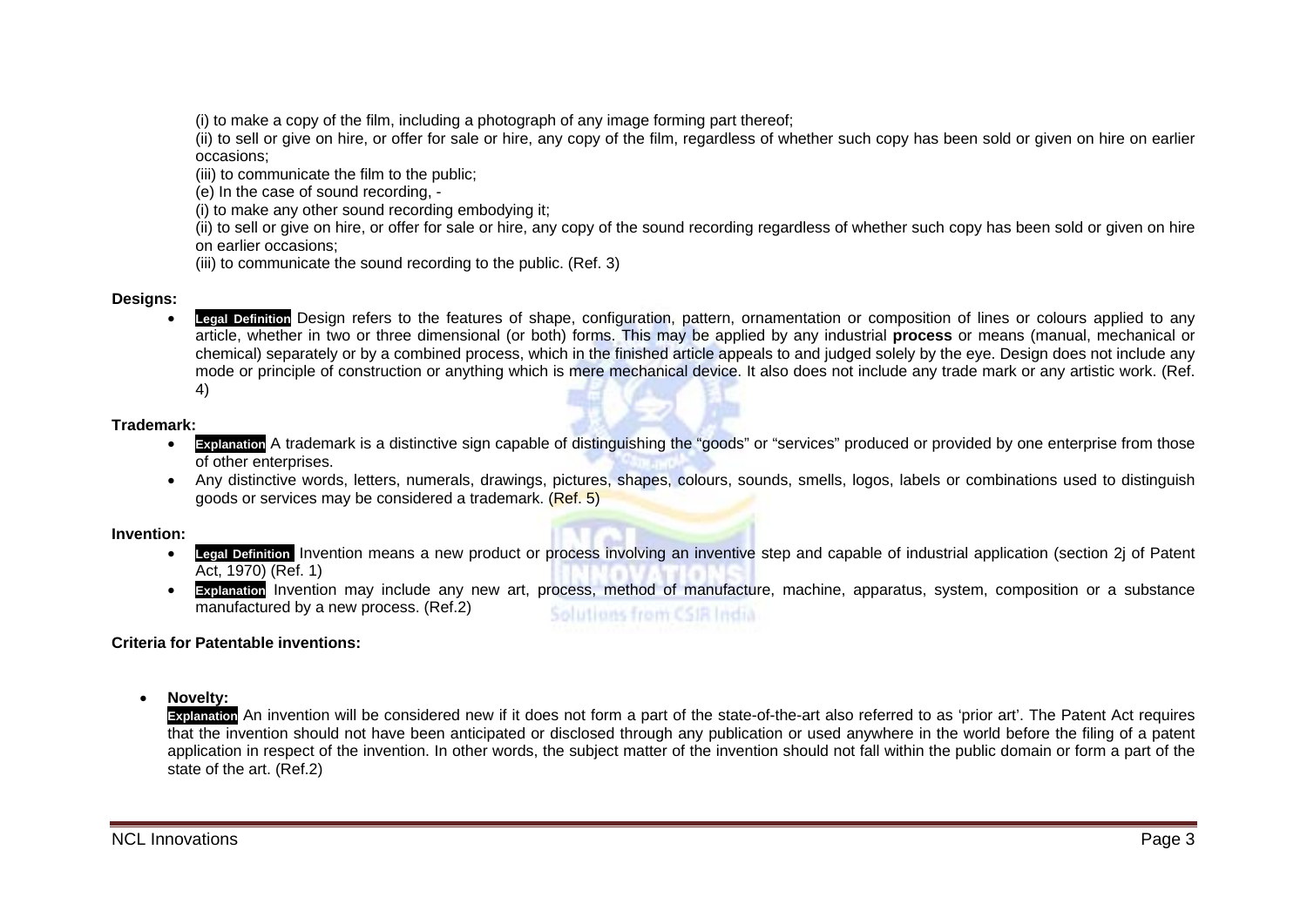(i) to make a copy of the film, including a photograph of any image forming part thereof;

(ii) to sell or give on hire, or offer for sale or hire, any copy of the film, regardless of whether such copy has been sold or given on hire on earlier occasions;

(iii) to communicate the film to the public;

(e) In the case of sound recording, -

(i) to make any other sound recording embodying it;

(ii) to sell or give on hire, or offer for sale or hire, any copy of the sound recording regardless of whether such copy has been sold or given on hire on earlier occasions;

(iii) to communicate the sound recording to the public. (Ref. 3)

### **Designs:**

• **Legal Definition** Design refers to the features of shape, configuration, pattern, ornamentation or composition of lines or colours applied to any article, whether in two or three dimensional (or both) forms. This may be applied by any industrial **process** or means (manual, mechanical or chemical) separately or by a combined process, which in the finished article appeals to and judged solely by the eye. Design does not include any mode or principle of construction or anything which is mere mechanical device. It also does not include any trade mark or any artistic work. (Ref. 4)

#### **Trademark:**

- **Explanation** A trademark is a distinctive sign capable of distinguishing the "goods" or "services" produced or provided by one enterprise from those of other enterprises.
- Any distinctive words, letters, numerals, drawings, pictures, shapes, colours, sounds, smells, logos, labels or combinations used to distinguish goods or services may be considered a trademark. (Ref. 5)

#### **Invention:**

- • **Legal Definition** Invention means a new product or process involving an inventive step and capable of industrial application (section 2j of Patent Act, 1970) (Ref. 1)
- **Explanation** Invention may include any new art, process, method of manufacture, machine, apparatus, system, composition or a substance •manufactured by a new process. (Ref.2) Solutions from CSIR India

#### **Criteria for Patentable inventions:**

•**Novelty:** 

**Explanation** An invention will be considered new if it does not form a part of the state-of-the-art also referred to as 'prior art'. The Patent Act requires that the invention should not have been anticipated or disclosed through any publication or used anywhere in the world before the filing of a patent application in respect of the invention. In other words, the subject matter of the invention should not fall within the public domain or form a part of the state of the art. (Ref.2)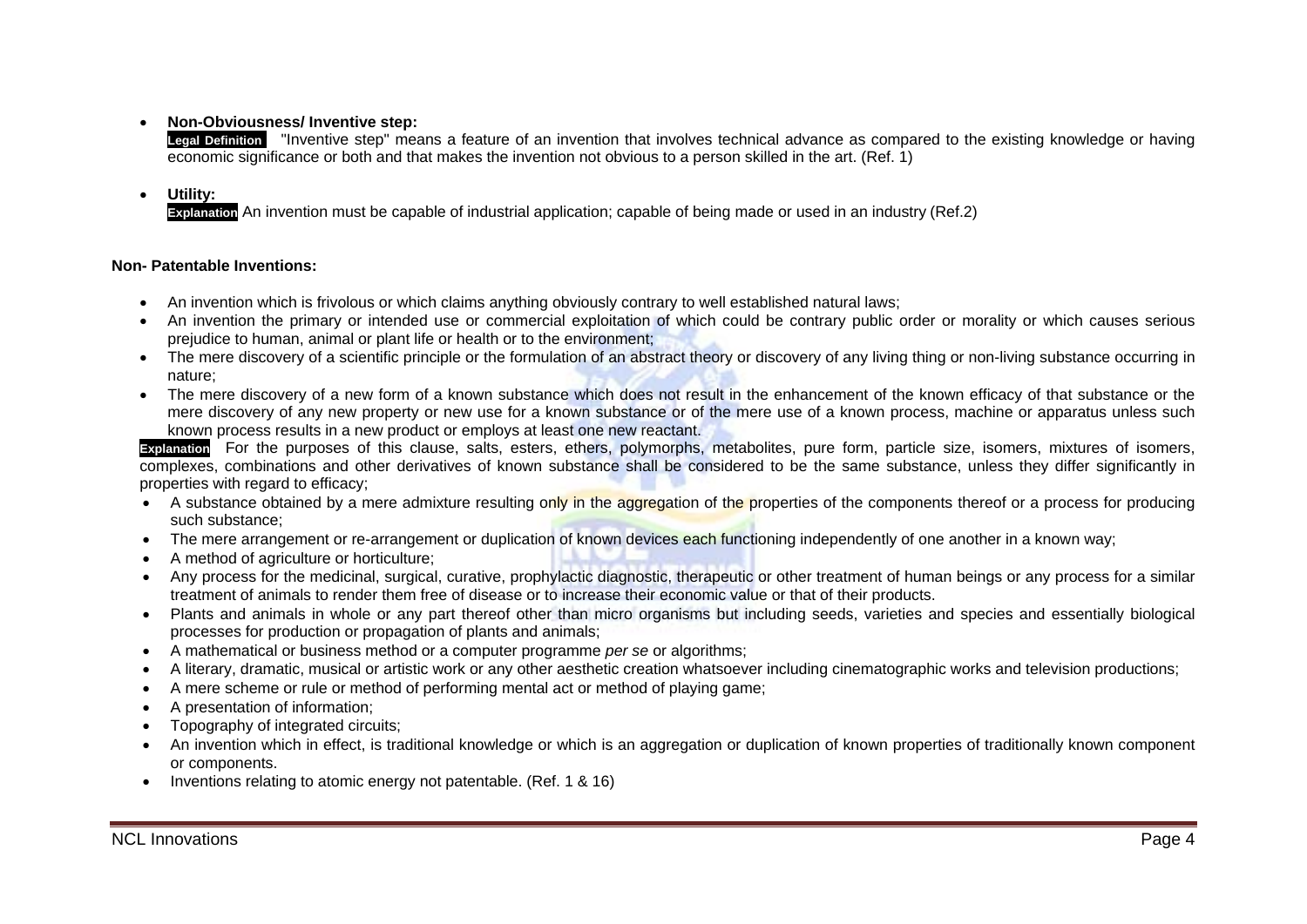#### •**Non-Obviousness/ Inventive step:**

**Legal Definition** "Inventive step" means a feature of an invention that involves technical advance as compared to the existing knowledge or having economic significance or both and that makes the invention not obvious to a person skilled in the art. (Ref. 1)

#### •**Utility:**

**Explanation** An invention must be capable of industrial application; capable of being made or used in an industry (Ref.2)

#### **Non- Patentable Inventions:**

- An invention which is frivolous or which claims anything obviously contrary to well established natural laws;
- An invention the primary or intended use or commercial exploitation of which could be contrary public order or morality or which causes serious prejudice to human, animal or plant life or health or to the environment;
- The mere discovery of a scientific principle or the formulation of an abstract theory or discovery of any living thing or non-living substance occurring in nature;
- The mere discovery of a new form of a known substance which does not result in the enhancement of the known efficacy of that substance or the mere discovery of any new property or new use for a known substance or of the mere use of a known process, machine or apparatus unless such known process results in a new product or employs at least one new reactant.

**Explanation** For the purposes of this clause, salts, esters, ethers, polymorphs, metabolites, pure form, particle size, isomers, mixtures of isomers, complexes, combinations and other derivatives of known substance shall be considered to be the same substance, unless they differ significantly in properties with regard to efficacy;

- A substance obtained by a mere admixture resulting only in the aggregation of the properties of the components thereof or a process for producing such substance;
- The mere arrangement or re-arrangement or duplication of known devices each functioning independently of one another in a known way;
- A method of agriculture or horticulture;
- Any process for the medicinal, surgical, curative, prophylactic diagnostic, therapeutic or other treatment of human beings or any process for a similar treatment of animals to render them free of disease or to increase their economic value or that of their products.
- Plants and animals in whole or any part thereof other than micro organisms but including seeds, varieties and species and essentially biological processes for production or propagation of plants and animals;
- A mathematical or business method or a computer programme *per se* or algorithms;
- A literary, dramatic, musical or artistic work or any other aesthetic creation whatsoever including cinematographic works and television productions;
- A mere scheme or rule or method of performing mental act or method of playing game;
- A presentation of information;
- Topography of integrated circuits;
- An invention which in effect, is traditional knowledge or which is an aggregation or duplication of known properties of traditionally known component or components.
- Inventions relating to atomic energy not patentable. (Ref. 1 & 16)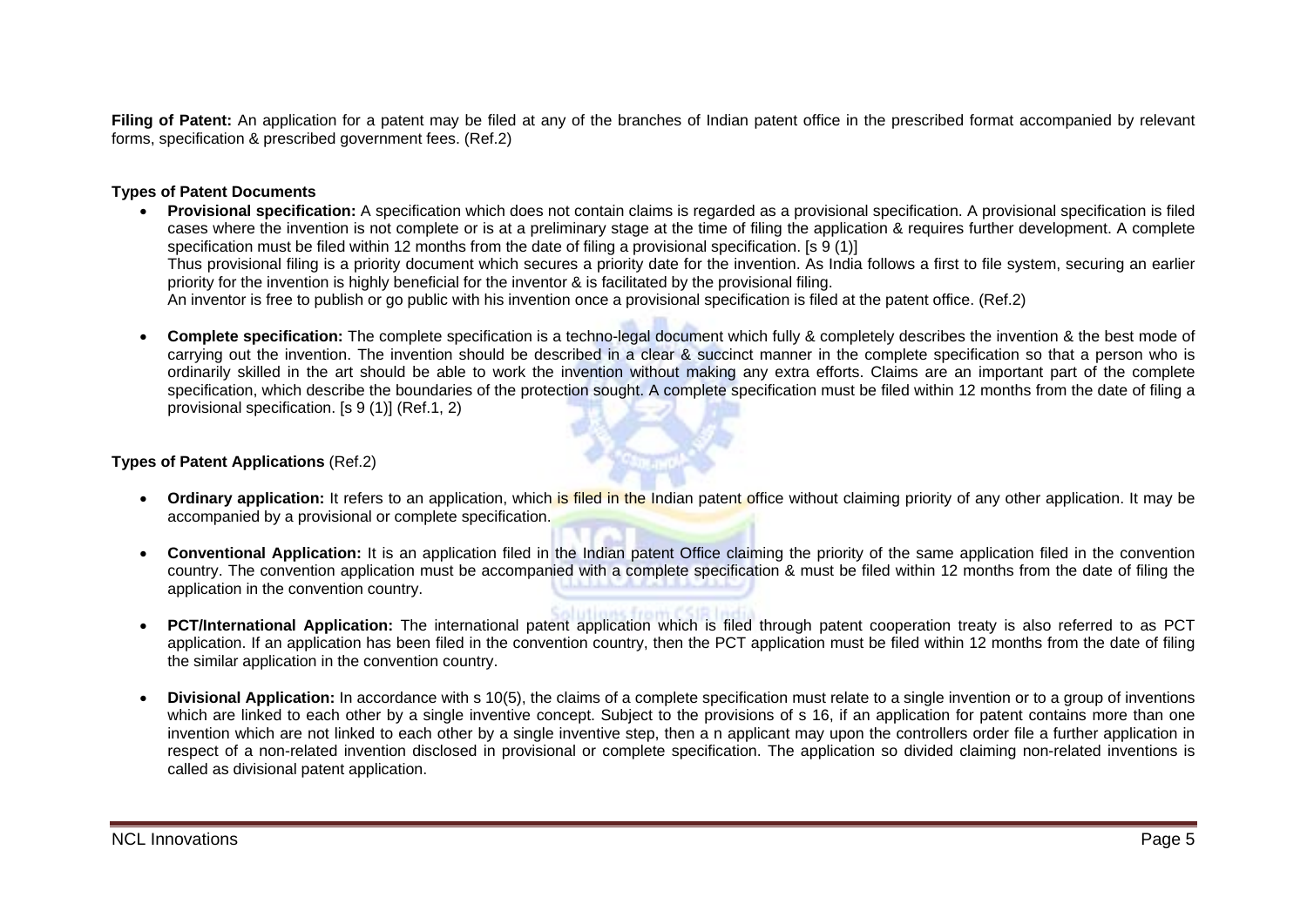Filing of Patent: An application for a patent may be filed at any of the branches of Indian patent office in the prescribed format accompanied by relevant forms, specification & prescribed government fees. (Ref.2)

#### **Types of Patent Documents**

• **Provisional specification:** A specification which does not contain claims is regarded as a provisional specification. A provisional specification is filed cases where the invention is not complete or is at a preliminary stage at the time of filing the application & requires further development. A complete specification must be filed within 12 months from the date of filing a provisional specification. [s 9 (1)] Thus provisional filing is a priority document which secures a priority date for the invention. As India follows a first to file system, securing an earlier priority for the invention is highly beneficial for the inventor & is facilitated by the provisional filing.

An inventor is free to publish or go public with his invention once a provisional specification is filed at the patent office. (Ref.2)

 **Complete specification:** The complete specification is a techno-legal document which fully & completely describes the invention & the best mode of carrying out the invention. The invention should be described in a clear & succinct manner in the complete specification so that a person who is ordinarily skilled in the art should be able to work the invention without making any extra efforts. Claims are an important part of the complete specification, which describe the boundaries of the protection sought. A complete specification must be filed within 12 months from the date of filing a provisional specification. [s 9 (1)] (Ref.1, 2)

#### **Types of Patent Applications** (Ref.2)

- **Ordinary application:** It refers to an application, which is filed in the Indian patent office without claiming priority of any other application. It may be accompanied by a provisional or complete specification.
- • **Conventional Application:** It is an application filed in the Indian patent Office claiming the priority of the same application filed in the convention country. The convention application must be accompanied with a complete specification & must be filed within 12 months from the date of filing the application in the convention country.
- • **PCT/International Application:** The international patent application which is filed through patent cooperation treaty is also referred to as PCT application. If an application has been filed in the convention country, then the PCT application must be filed within 12 months from the date of filing the similar application in the convention country.
- • **Divisional Application:** In accordance with s 10(5), the claims of a complete specification must relate to a single invention or to a group of inventions which are linked to each other by a single inventive concept. Subject to the provisions of s 16, if an application for patent contains more than one invention which are not linked to each other by a single inventive step, then a n applicant may upon the controllers order file a further application in respect of a non-related invention disclosed in provisional or complete specification. The application so divided claiming non-related inventions is called as divisional patent application.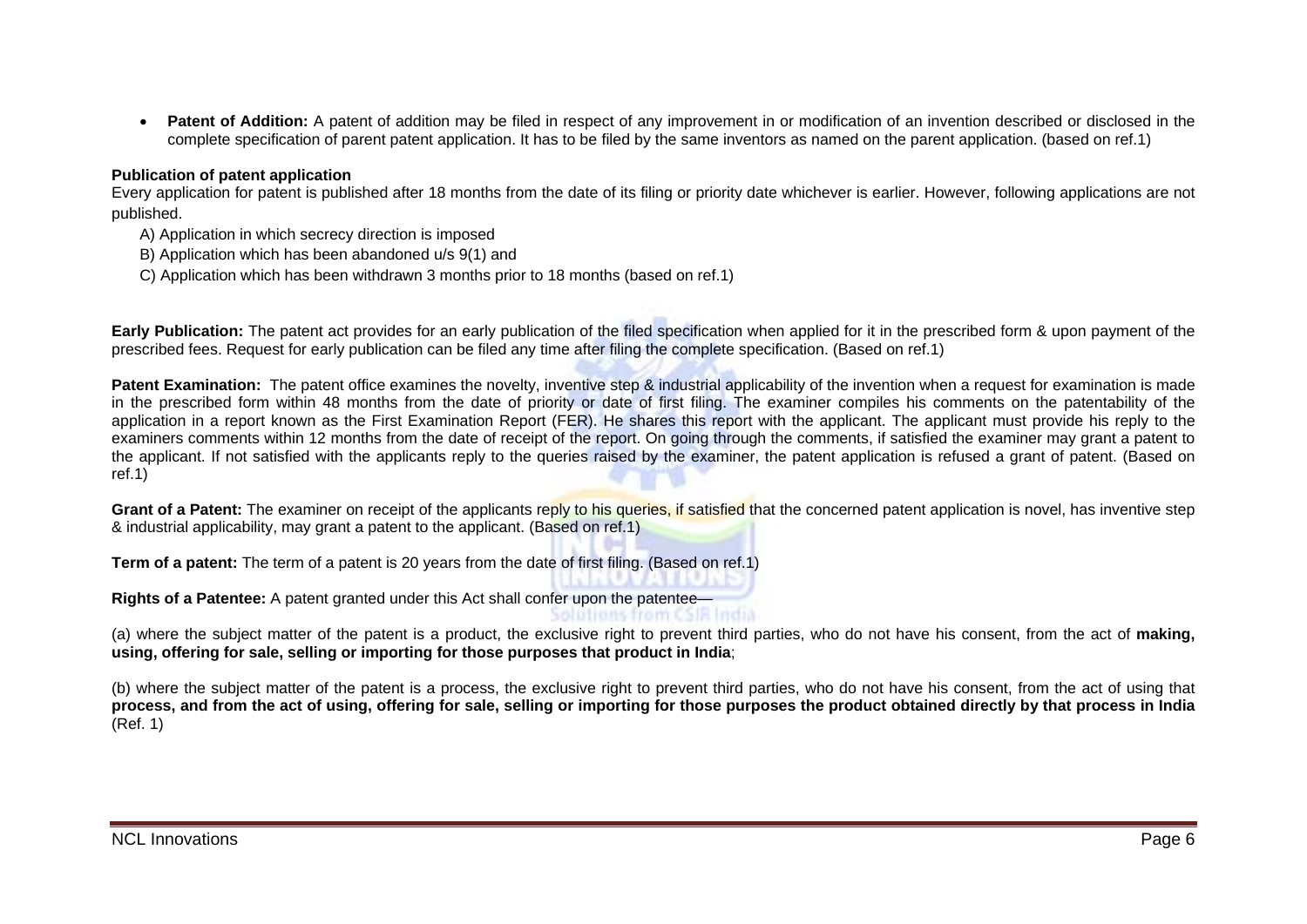•**Patent of Addition:** A patent of addition may be filed in respect of any improvement in or modification of an invention described or disclosed in the complete specification of parent patent application. It has to be filed by the same inventors as named on the parent application. (based on ref.1)

#### **Publication of patent application**

Every application for patent is published after 18 months from the date of its filing or priority date whichever is earlier. However, following applications are not published.

- A) Application in which secrecy direction is imposed
- B) Application which has been abandoned u/s 9(1) and
- C) Application which has been withdrawn 3 months prior to 18 months (based on ref.1)

**Early Publication:** The patent act provides for an early publication of the filed specification when applied for it in the prescribed form & upon payment of the prescribed fees. Request for early publication can be filed any time after filing the complete specification. (Based on ref.1)

Patent Examination: The patent office examines the novelty, inventive step & industrial applicability of the invention when a request for examination is made in the prescribed form within 48 months from the date of priority or date of first filing. The examiner compiles his comments on the patentability of the application in a report known as the First Examination Report (FER). He shares this report with the applicant. The applicant must provide his reply to the examiners comments within 12 months from the date of receipt of the report. On going through the comments, if satisfied the examiner may grant a patent to the applicant. If not satisfied with the applicants reply to the queries raised by the examiner, the patent application is refused a grant of patent. (Based on ref.1)

**Grant of a Patent:** The examiner on receipt of the applicants reply to his queries, if satisfied that the concerned patent application is novel, has inventive step & industrial applicability, may grant a patent to the applicant. (Based on ref.1)

**Term of a patent:** The term of a patent is 20 years from the date of first filing. (Based on ref.1)

**Rights of a Patentee:** A patent granted under this Act shall confer upon the patentee—

utions from CSIR India

(a) where the subject matter of the patent is a product, the exclusive right to prevent third parties, who do not have his consent, from the act of **making, using, offering for sale, selling or importing for those purposes that product in India**;

(b) where the subject matter of the patent is a process, the exclusive right to prevent third parties, who do not have his consent, from the act of using that **process, and from the act of using, offering for sale, selling or importing for those purposes the product obtained directly by that process in India**  (Ref. 1)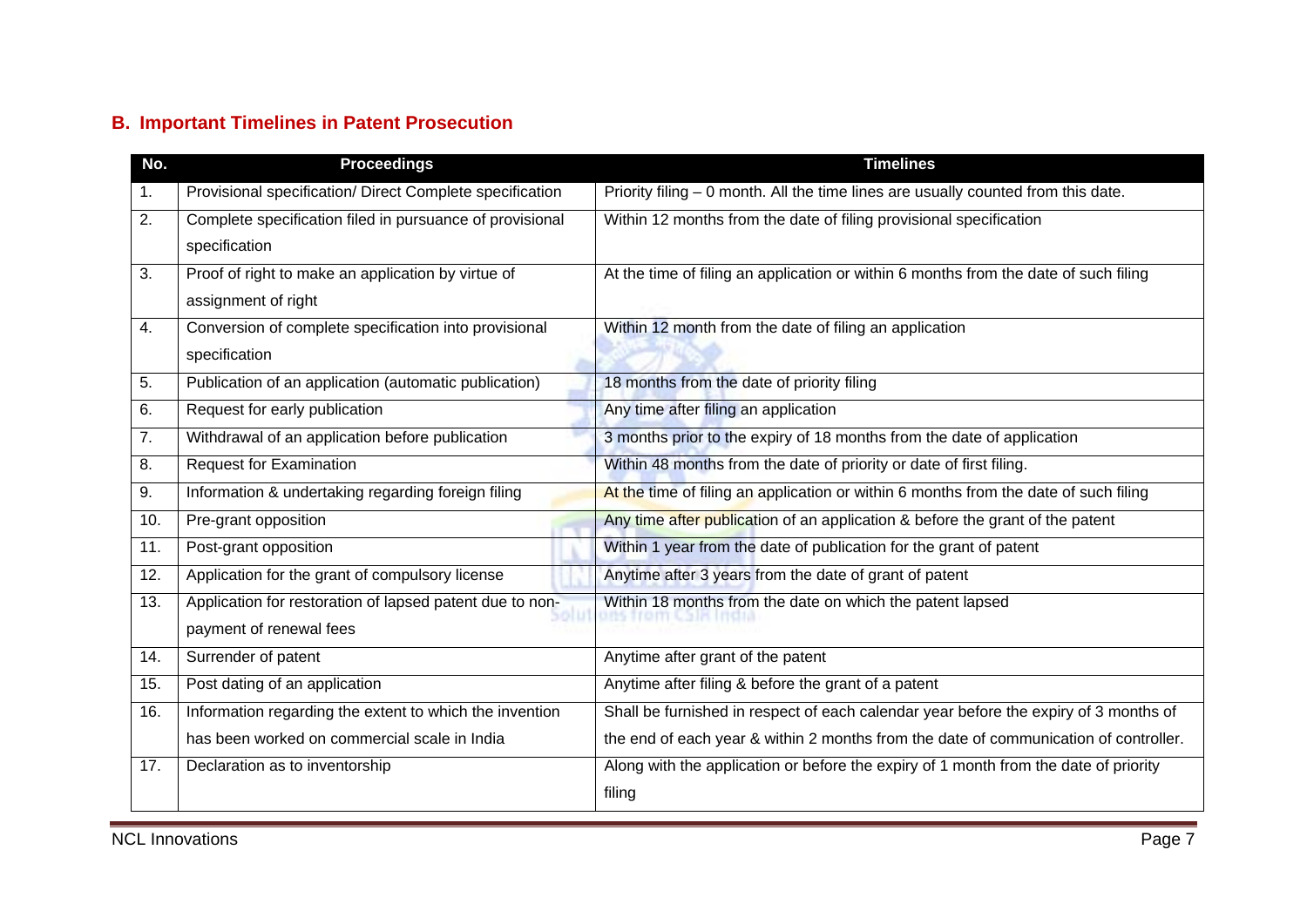### **B. Important Timelines in Patent Prosecution**

| No.            | <b>Proceedings</b>                                       | <b>Timelines</b>                                                                     |
|----------------|----------------------------------------------------------|--------------------------------------------------------------------------------------|
| 1 <sub>1</sub> | Provisional specification/ Direct Complete specification | Priority filing - 0 month. All the time lines are usually counted from this date.    |
| 2.             | Complete specification filed in pursuance of provisional | Within 12 months from the date of filing provisional specification                   |
|                | specification                                            |                                                                                      |
| 3.             | Proof of right to make an application by virtue of       | At the time of filing an application or within 6 months from the date of such filing |
|                | assignment of right                                      |                                                                                      |
| 4.             | Conversion of complete specification into provisional    | Within 12 month from the date of filing an application                               |
|                | specification                                            |                                                                                      |
| 5.             | Publication of an application (automatic publication)    | 18 months from the date of priority filing                                           |
| 6.             | Request for early publication                            | Any time after filing an application                                                 |
| 7.             | Withdrawal of an application before publication          | 3 months prior to the expiry of 18 months from the date of application               |
| 8.             | <b>Request for Examination</b>                           | Within 48 months from the date of priority or date of first filing.                  |
| 9.             | Information & undertaking regarding foreign filing       | At the time of filing an application or within 6 months from the date of such filing |
| 10.            | Pre-grant opposition                                     | Any time after publication of an application & before the grant of the patent        |
| 11.            | Post-grant opposition                                    | Within 1 year from the date of publication for the grant of patent                   |
| 12.            | Application for the grant of compulsory license          | Anytime after 3 years from the date of grant of patent                               |
| 13.            | Application for restoration of lapsed patent due to non- | Within 18 months from the date on which the patent lapsed                            |
|                | payment of renewal fees                                  |                                                                                      |
| 14.            | Surrender of patent                                      | Anytime after grant of the patent                                                    |
| 15.            | Post dating of an application                            | Anytime after filing & before the grant of a patent                                  |
| 16.            | Information regarding the extent to which the invention  | Shall be furnished in respect of each calendar year before the expiry of 3 months of |
|                | has been worked on commercial scale in India             | the end of each year & within 2 months from the date of communication of controller. |
| 17.            | Declaration as to inventorship                           | Along with the application or before the expiry of 1 month from the date of priority |
|                |                                                          | filing                                                                               |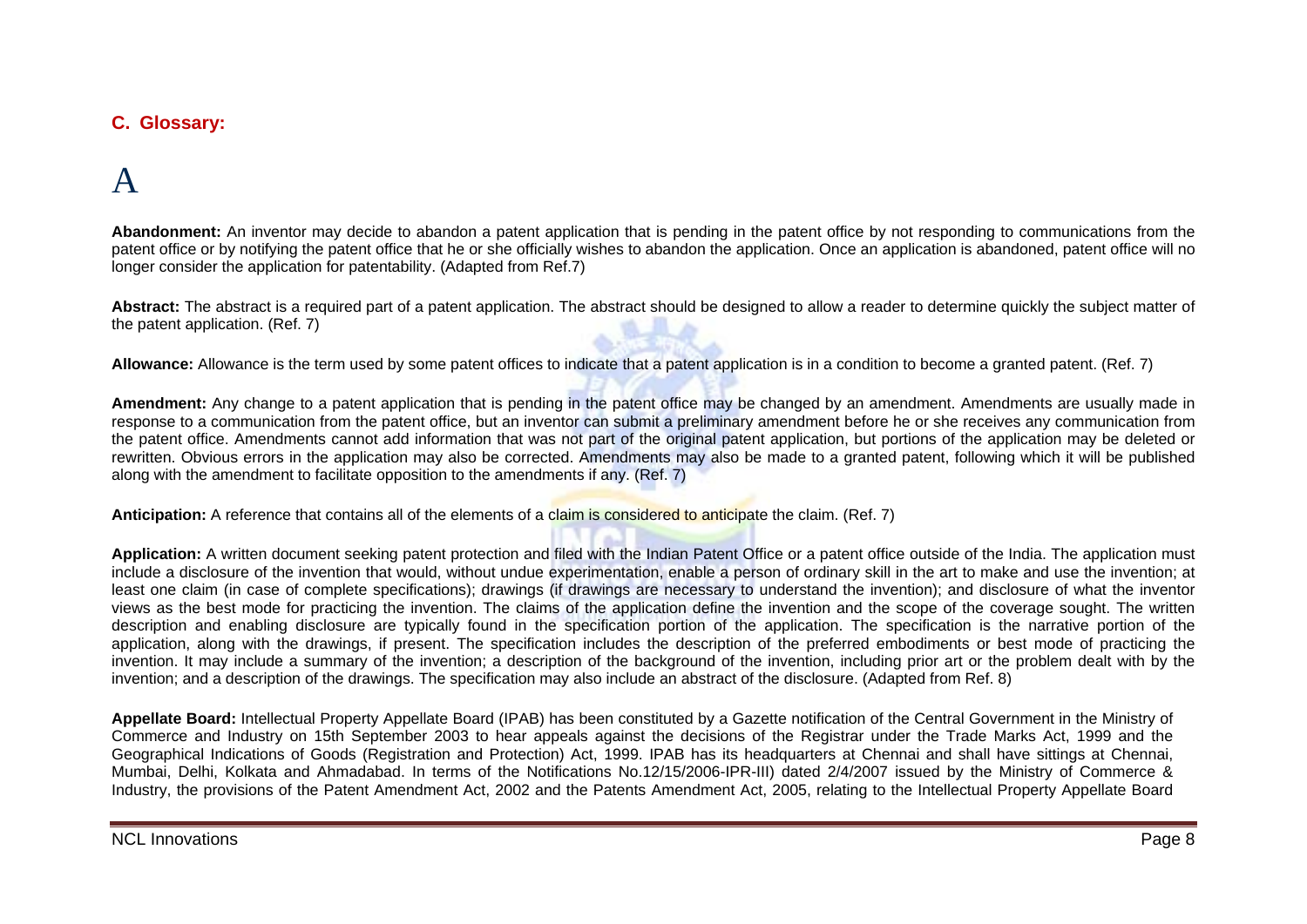### **C. Glossary:**

## A

**Abandonment:** An inventor may decide to abandon a patent application that is pending in the patent office by not responding to communications from the patent office or by notifying the patent office that he or she officially wishes to abandon the application. Once an application is abandoned, patent office will no longer consider the application for patentability. (Adapted from Ref.7)

**Abstract:** The abstract is a required part of a patent application. The abstract should be designed to allow a reader to determine quickly the subject matter of the patent application. (Ref. 7)

**Allowance:** Allowance is the term used by some patent offices to indicate that a patent application is in a condition to become a granted patent. (Ref. 7)

**Amendment:** Any change to a patent application that is pending in the patent office may be changed by an amendment. Amendments are usually made in response to a communication from the patent office, but an inventor can submit a preliminary amendment before he or she receives any communication from the patent office. Amendments cannot add information that was not part of the original patent application, but portions of the application may be deleted or rewritten. Obvious errors in the application may also be corrected. Amendments may also be made to a granted patent, following which it will be published along with the amendment to facilitate opposition to the amendments if any. (Ref. 7)

**Anticipation:** A reference that contains all of the elements of a claim is considered to anticipate the claim. (Ref. 7)

**Application:** A written document seeking patent protection and filed with the Indian Patent Office or a patent office outside of the India. The application must include a disclosure of the invention that would, without undue experimentation, enable a person of ordinary skill in the art to make and use the invention; at least one claim (in case of complete specifications); drawings (if drawings are necessary to understand the invention); and disclosure of what the inventor views as the best mode for practicing the invention. The claims of the application define the invention and the scope of the coverage sought. The written description and enabling disclosure are typically found in the specification portion of the application. The specification is the narrative portion of the application, along with the drawings, if present. The specification includes the description of the preferred embodiments or best mode of practicing the invention. It may include a summary of the invention; a description of the background of the invention, including prior art or the problem dealt with by the invention; and a description of the drawings. The specification may also include an abstract of the disclosure. (Adapted from Ref. 8)

**Appellate Board:** Intellectual Property Appellate Board (IPAB) has been constituted by a Gazette notification of the Central Government in the Ministry of Commerce and Industry on 15th September 2003 to hear appeals against the decisions of the Registrar under the Trade Marks Act, 1999 and the Geographical Indications of Goods (Registration and Protection) Act, 1999. IPAB has its headquarters at Chennai and shall have sittings at Chennai, Mumbai, Delhi, Kolkata and Ahmadabad. In terms of the Notifications No.12/15/2006-IPR-III) dated 2/4/2007 issued by the Ministry of Commerce & Industry, the provisions of the Patent Amendment Act, 2002 and the Patents Amendment Act, 2005, relating to the Intellectual Property Appellate Board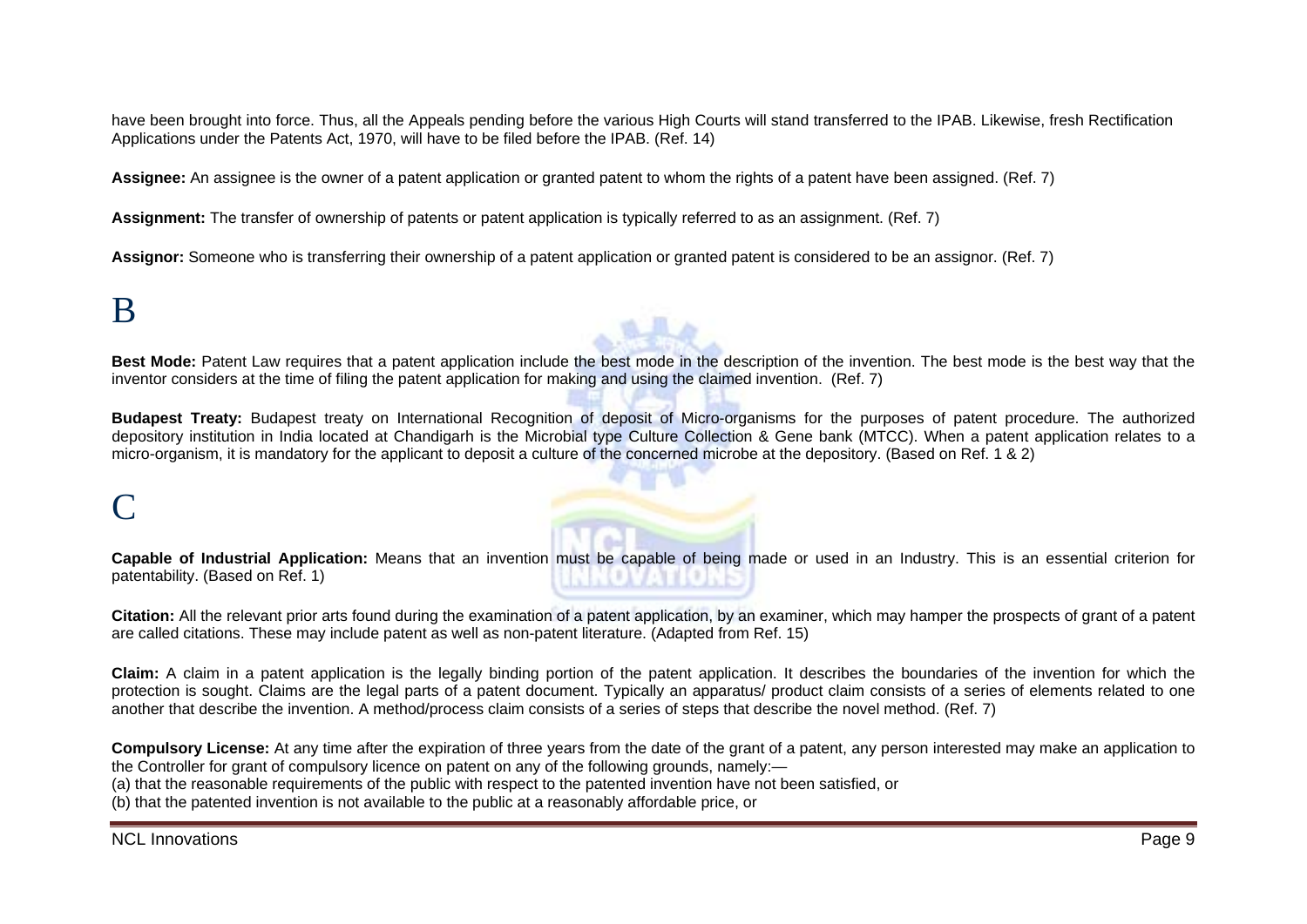have been brought into force. Thus, all the Appeals pending before the various High Courts will stand transferred to the IPAB. Likewise, fresh Rectification Applications under the Patents Act, 1970, will have to be filed before the IPAB. (Ref. 14)

**Assignee:** An assignee is the owner of a patent application or granted patent to whom the rights of a patent have been assigned. (Ref. 7)

**Assignment:** The transfer of ownership of patents or patent application is typically referred to as an assignment. (Ref. 7)

**Assignor:** Someone who is transferring their ownership of a patent application or granted patent is considered to be an assignor. (Ref. 7)

### B

**Best Mode:** Patent Law requires that a patent application include the best mode in the description of the invention. The best mode is the best way that the inventor considers at the time of filing the patent application for making and using the claimed invention. (Ref. 7)

**Budapest Treaty:** Budapest treaty on International Recognition of deposit of Micro-organisms for the purposes of patent procedure. The authorized depository institution in India located at Chandigarh is the Microbial type Culture Collection & Gene bank (MTCC). When a patent application relates to a micro-organism, it is mandatory for the applicant to deposit a culture of the concerned microbe at the depository. (Based on Ref. 1 & 2)

### $\mathbf C$

**Capable of Industrial Application:** Means that an invention must be capable of being made or used in an Industry. This is an essential criterion for patentability. (Based on Ref. 1)

**Citation:** All the relevant prior arts found during the examination of a patent application, by an examiner, which may hamper the prospects of grant of a patent are called citations. These may include patent as well as non-patent literature. (Adapted from Ref. 15)

**Claim:** A claim in a patent application is the legally binding portion of the patent application. It describes the boundaries of the invention for which the protection is sought. Claims are the legal parts of a patent document. Typically an apparatus/ product claim consists of a series of elements related to one another that describe the invention. A method/process claim consists of a series of steps that describe the novel method. (Ref. 7)

**Compulsory License:** At any time after the expiration of three years from the date of the grant of a patent, any person interested may make an application to the Controller for grant of compulsory licence on patent on any of the following grounds, namely:—

(a) that the reasonable requirements of the public with respect to the patented invention have not been satisfied, or

(b) that the patented invention is not available to the public at a reasonably affordable price, or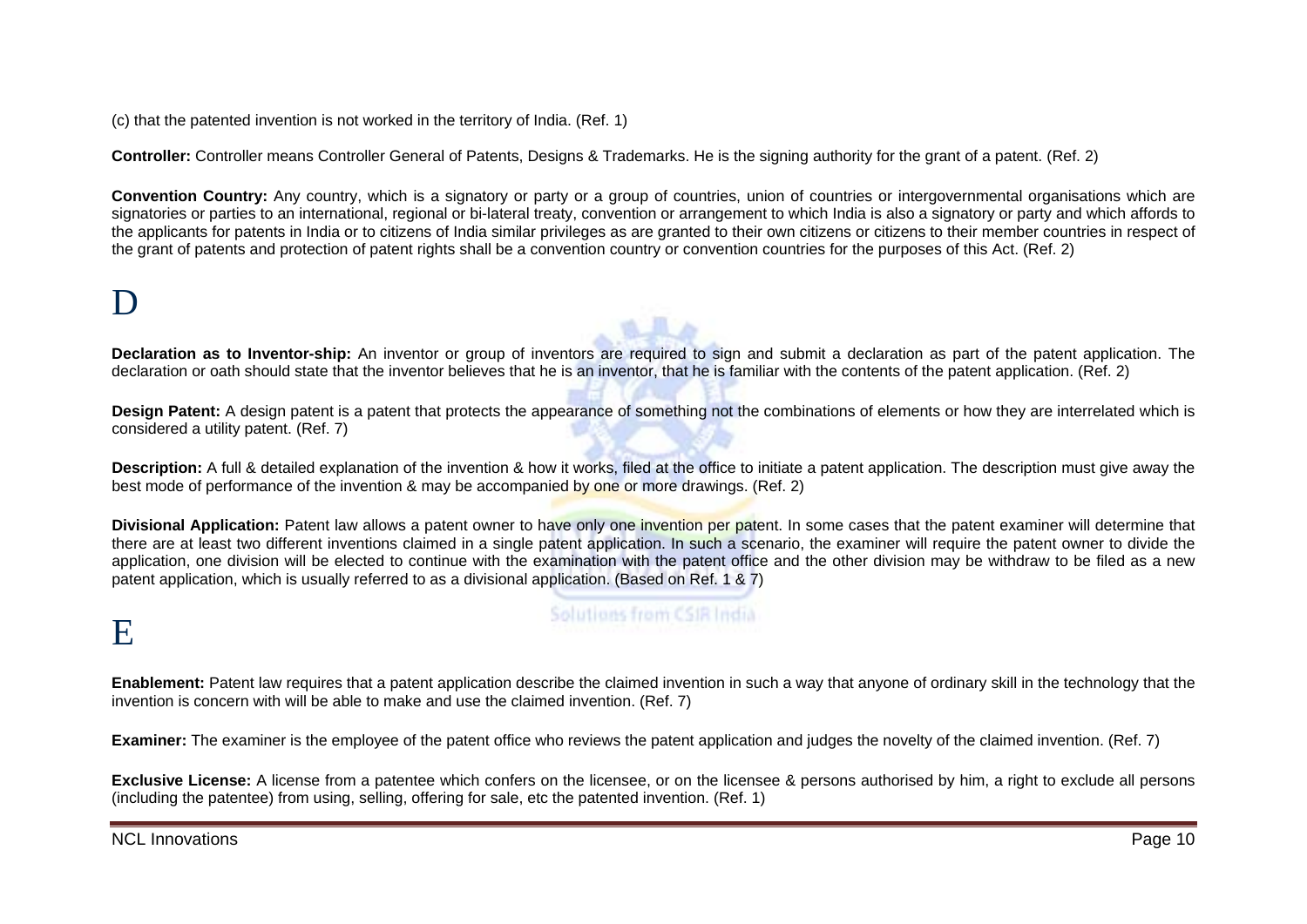(c) that the patented invention is not worked in the territory of India. (Ref. 1)

**Controller:** Controller means Controller General of Patents, Designs & Trademarks. He is the signing authority for the grant of a patent. (Ref. 2)

**Convention Country:** Any country, which is a signatory or party or a group of countries, union of countries or intergovernmental organisations which are signatories or parties to an international, regional or bi-lateral treaty, convention or arrangement to which India is also a signatory or party and which affords to the applicants for patents in India or to citizens of India similar privileges as are granted to their own citizens or citizens to their member countries in respect of the grant of patents and protection of patent rights shall be a convention country or convention countries for the purposes of this Act. (Ref. 2)

### D

**Declaration as to Inventor-ship:** An inventor or group of inventors are required to sign and submit a declaration as part of the patent application. The declaration or oath should state that the inventor believes that he is an inventor, that he is familiar with the contents of the patent application. (Ref. 2)

**Design Patent:** A design patent is a patent that protects the appearance of something not the combinations of elements or how they are interrelated which is considered a utility patent. (Ref. 7)

**Description:** A full & detailed explanation of the invention & how it works, filed at the office to initiate a patent application. The description must give away the best mode of performance of the invention & may be accompanied by one or more drawings. (Ref. 2)

**Divisional Application:** Patent law allows a patent owner to have only one invention per patent. In some cases that the patent examiner will determine that there are at least two different inventions claimed in a single patent application. In such a scenario, the examiner will require the patent owner to divide the application, one division will be elected to continue with the examination with the patent office and the other division may be withdraw to be filed as a new patent application, which is usually referred to as a divisional application. (Based on Ref. 1 & 7)

### E

### Solutions from CSIR India

**Enablement:** Patent law requires that a patent application describe the claimed invention in such a way that anyone of ordinary skill in the technology that the invention is concern with will be able to make and use the claimed invention. (Ref. 7)

**Examiner:** The examiner is the employee of the patent office who reviews the patent application and judges the novelty of the claimed invention. (Ref. 7)

**Exclusive License:** A license from a patentee which confers on the licensee, or on the licensee & persons authorised by him, a right to exclude all persons (including the patentee) from using, selling, offering for sale, etc the patented invention. (Ref. 1)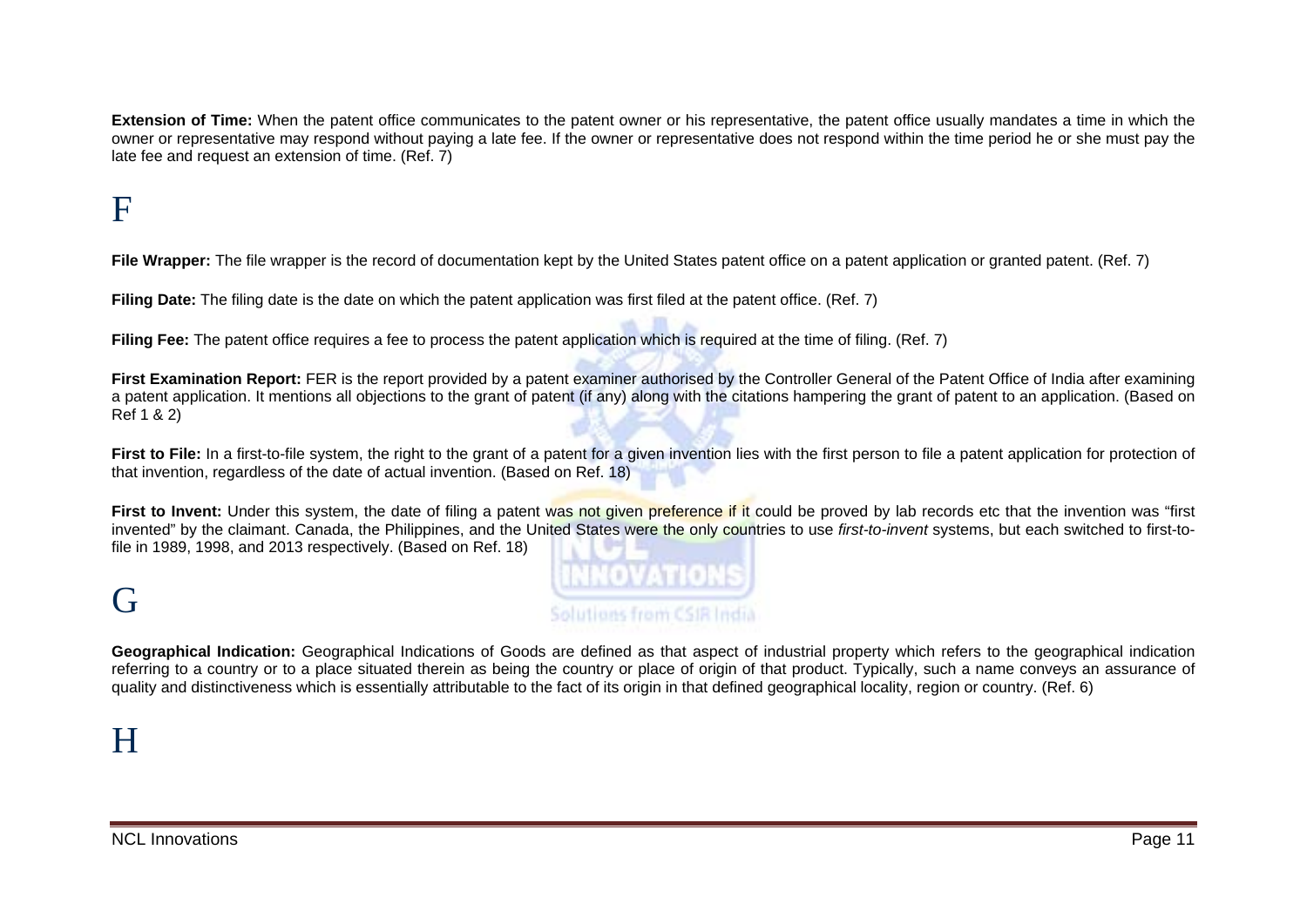**Extension of Time:** When the patent office communicates to the patent owner or his representative, the patent office usually mandates a time in which the owner or representative may respond without paying a late fee. If the owner or representative does not respond within the time period he or she must pay the late fee and request an extension of time. (Ref. 7)

### F

**File Wrapper:** The file wrapper is the record of documentation kept by the United States patent office on a patent application or granted patent. (Ref. 7)

**Filing Date:** The filing date is the date on which the patent application was first filed at the patent office. (Ref. 7)

**Filing Fee:** The patent office requires a fee to process the patent application which is required at the time of filing. (Ref. 7)

**First Examination Report:** FER is the report provided by a patent examiner authorised by the Controller General of the Patent Office of India after examining a patent application. It mentions all objections to the grant of patent (if any) along with the citations hampering the grant of patent to an application. (Based on Ref 1 & 2)

**First to File:** In a first-to-file system, the right to the grant of a patent for a given invention lies with the first person to file a patent application for protection of that invention, regardless of the date of actual invention. (Based on Ref. 18)

First to Invent: Under this system, the date of filing a patent was not given preference if it could be proved by lab records etc that the invention was "first invented" by the claimant. Canada, the Philippines, and the United States were the only countries to use *first-to-invent* systems, but each switched to first-tofile in 1989, 1998, and 2013 respectively. (Based on Ref. 18)

### G



**Geographical Indication:** Geographical Indications of Goods are defined as that aspect of industrial property which refers to the geographical indication referring to a country or to a place situated therein as being the country or place of origin of that product. Typically, such a name conveys an assurance of quality and distinctiveness which is essentially attributable to the fact of its origin in that defined geographical locality, region or country. (Ref. 6)

# H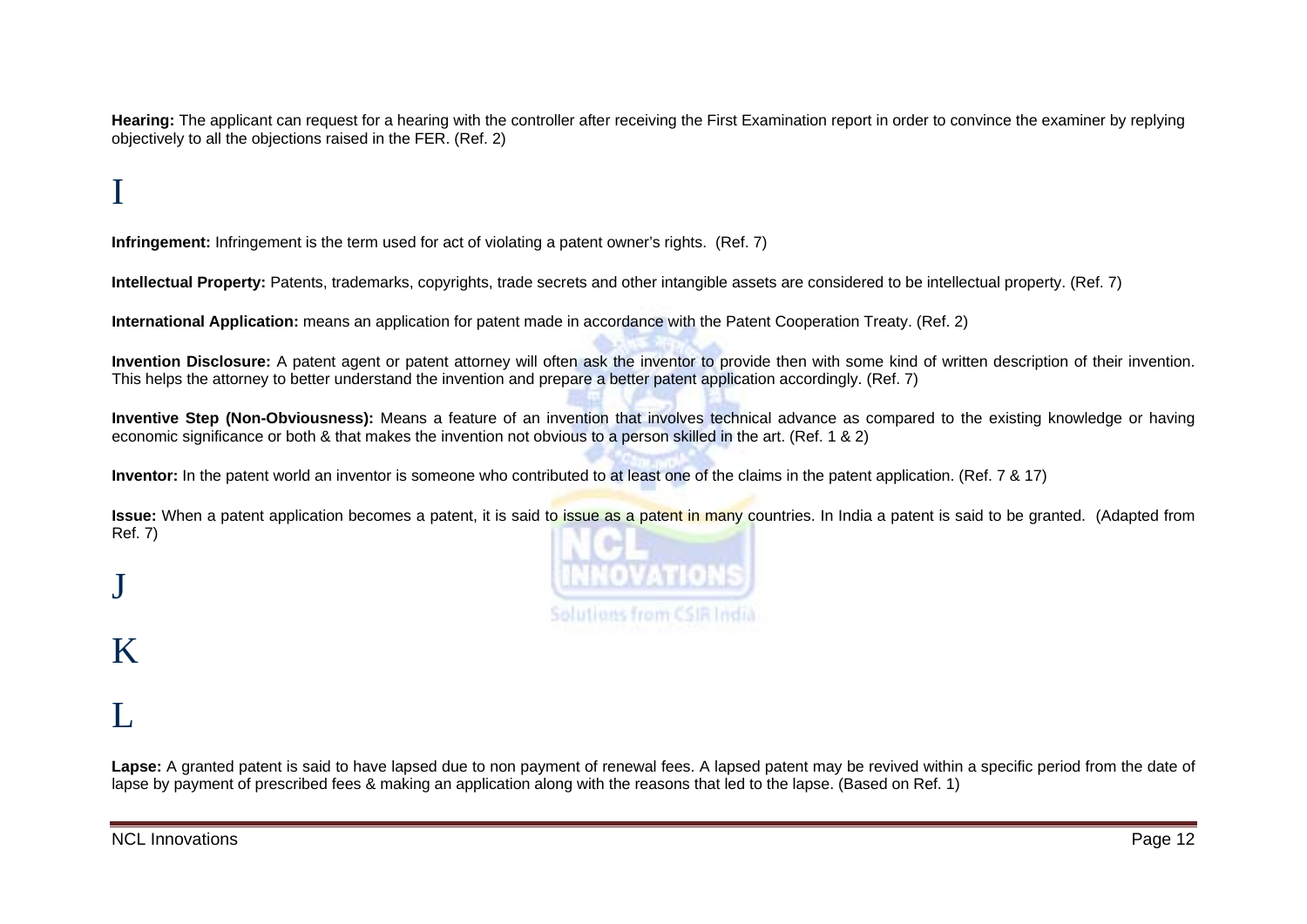**Hearing:** The applicant can request for a hearing with the controller after receiving the First Examination report in order to convince the examiner by replying objectively to all the objections raised in the FER. (Ref. 2)

**Infringement:** Infringement is the term used for act of violating a patent owner's rights. (Ref. 7)

**Intellectual Property:** Patents, trademarks, copyrights, trade secrets and other intangible assets are considered to be intellectual property. (Ref. 7)

**International Application:** means an application for patent made in accordance with the Patent Cooperation Treaty. (Ref. 2)

**Invention Disclosure:** A patent agent or patent attorney will often ask the inventor to provide then with some kind of written description of their invention. This helps the attorney to better understand the invention and prepare a better patent application accordingly. (Ref. 7)

**Inventive Step (Non-Obviousness):** Means a feature of an invention that involves technical advance as compared to the existing knowledge or having economic significance or both & that makes the invention not obvious to a person skilled in the art. (Ref. 1 & 2)

**Inventor:** In the patent world an inventor is someone who contributed to at least one of the claims in the patent application. (Ref. 7 & 17)

**Issue:** When a patent application becomes a patent, it is said to issue as a patent in many countries. In India a patent is said to be granted. (Adapted from Ref. 7)

# J

I



K

### L

Lapse: A granted patent is said to have lapsed due to non payment of renewal fees. A lapsed patent may be revived within a specific period from the date of lapse by payment of prescribed fees & making an application along with the reasons that led to the lapse. (Based on Ref. 1)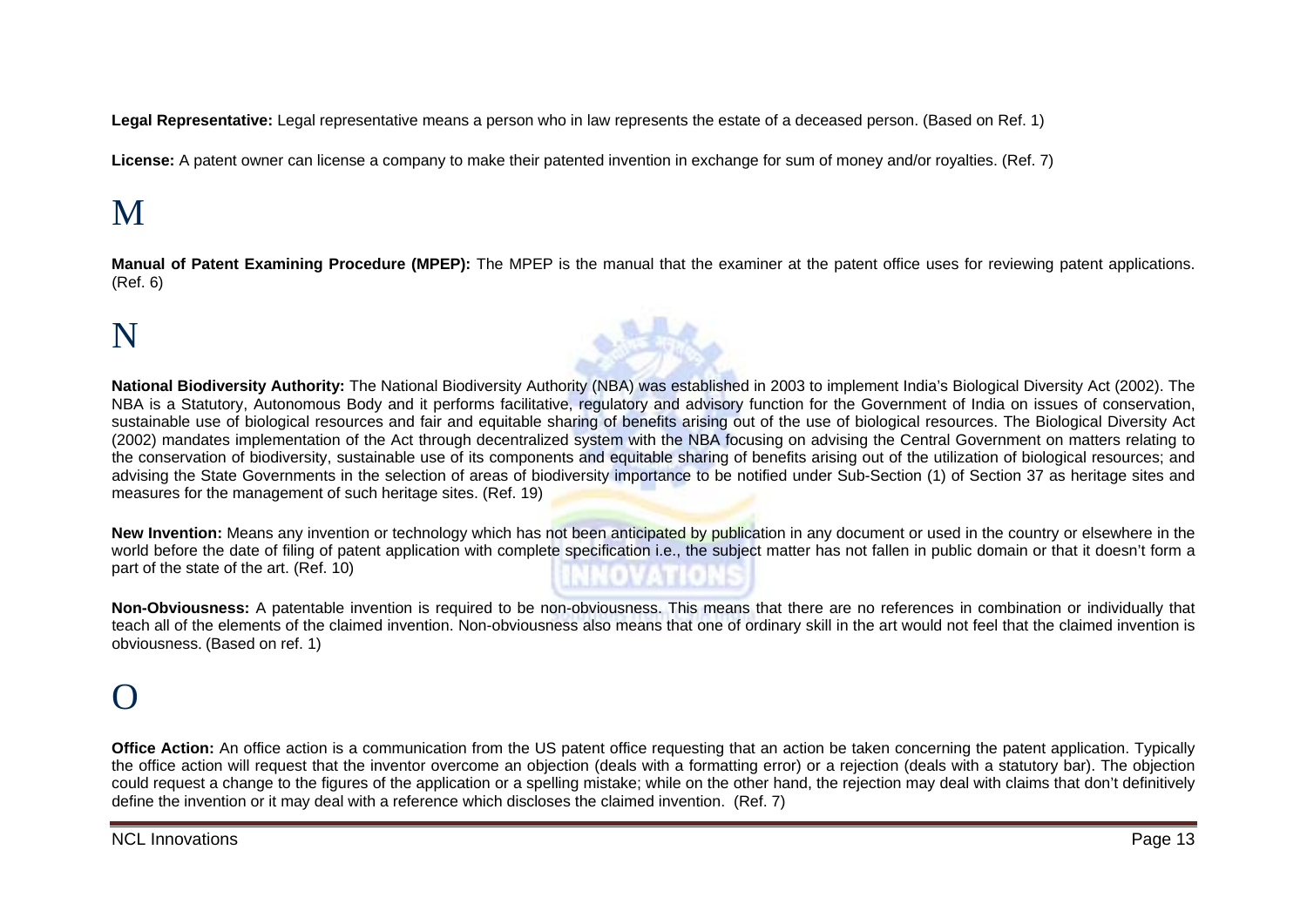**Legal Representative:** Legal representative means a person who in law represents the estate of a deceased person. (Based on Ref. 1)

**License:** A patent owner can license a company to make their patented invention in exchange for sum of money and/or royalties. (Ref. 7)

# M

**Manual of Patent Examining Procedure (MPEP):** The MPEP is the manual that the examiner at the patent office uses for reviewing patent applications. (Ref. 6)

# N

**National Biodiversity Authority:** The National Biodiversity Authority (NBA) was established in 2003 to implement India's Biological Diversity Act (2002). The NBA is a Statutory, Autonomous Body and it performs facilitative, regulatory and advisory function for the Government of India on issues of conservation, sustainable use of biological resources and fair and equitable sharing of benefits arising out of the use of biological resources. The Biological Diversity Act (2002) mandates implementation of the Act through decentralized system with the NBA focusing on advising the Central Government on matters relating to the conservation of biodiversity, sustainable use of its components and equitable sharing of benefits arising out of the utilization of biological resources; and advising the State Governments in the selection of areas of biodiversity importance to be notified under Sub-Section (1) of Section 37 as heritage sites and measures for the management of such heritage sites. (Ref. 19)

**New Invention:** Means any invention or technology which has not been anticipated by publication in any document or used in the country or elsewhere in the world before the date of filing of patent application with complete specification i.e., the subject matter has not fallen in public domain or that it doesn't form a part of the state of the art. (Ref. 10)

**Non-Obviousness:** A patentable invention is required to be non-obviousness. This means that there are no references in combination or individually that teach all of the elements of the claimed invention. Non-obviousness also means that one of ordinary skill in the art would not feel that the claimed invention is obviousness. (Based on ref. 1)

### $\left( \begin{array}{c} \end{array} \right)$

**Office Action:** An office action is a communication from the US patent office requesting that an action be taken concerning the patent application. Typically the office action will request that the inventor overcome an objection (deals with a formatting error) or a rejection (deals with a statutory bar). The objection could request a change to the figures of the application or a spelling mistake; while on the other hand, the rejection may deal with claims that don't definitively define the invention or it may deal with a reference which discloses the claimed invention. (Ref. 7)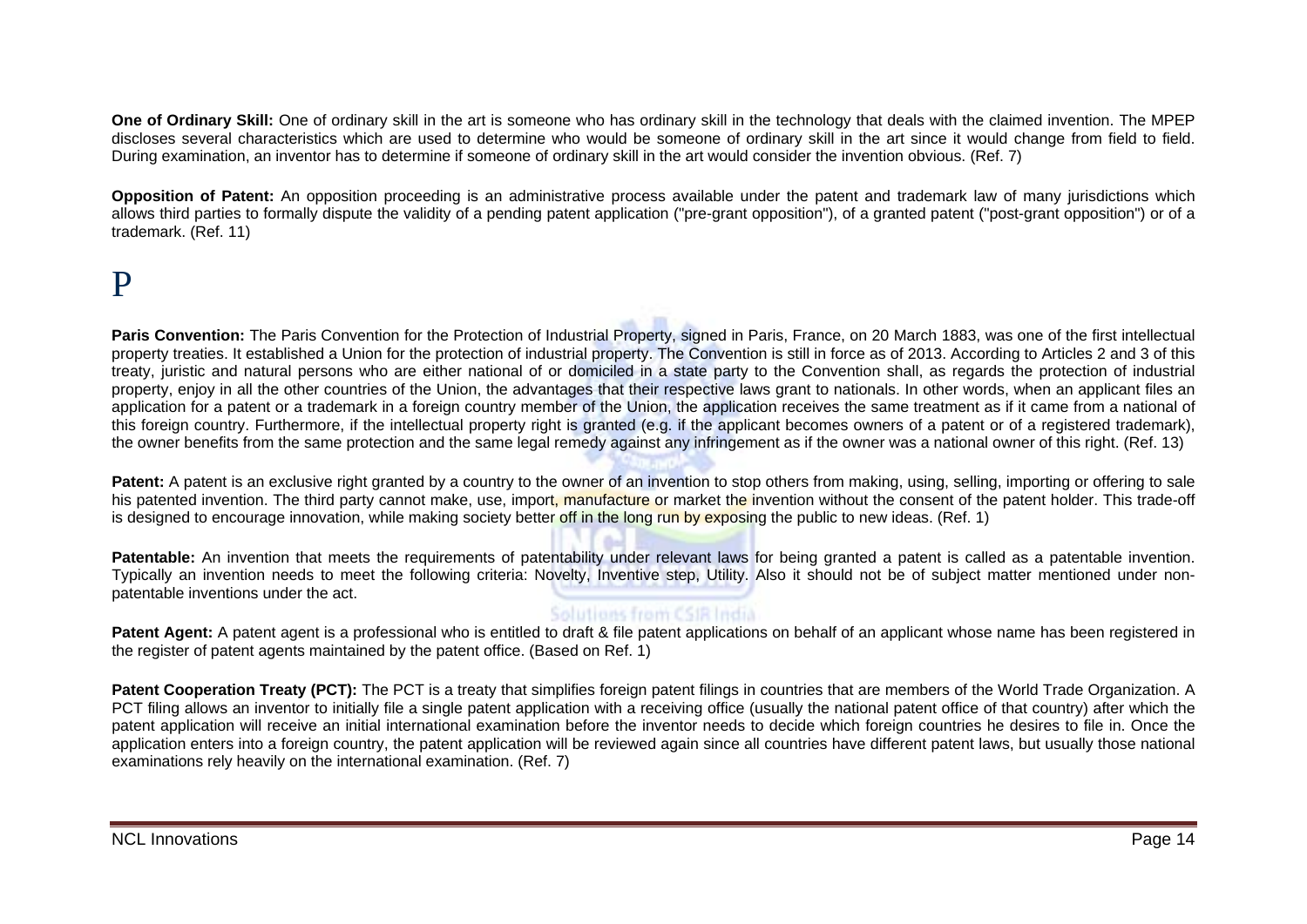**One of Ordinary Skill:** One of ordinary skill in the art is someone who has ordinary skill in the technology that deals with the claimed invention. The MPEP discloses several characteristics which are used to determine who would be someone of ordinary skill in the art since it would change from field to field. During examination, an inventor has to determine if someone of ordinary skill in the art would consider the invention obvious. (Ref. 7)

**Opposition of Patent:** An opposition proceeding is an administrative process available under the patent and trademark law of many jurisdictions which allows third parties to formally dispute the validity of a pending patent application ("pre-grant opposition"), of a granted patent ("post-grant opposition") or of a trademark. (Ref. 11)

### P

**Paris Convention:** The Paris Convention for the Protection of Industrial Property, signed in Paris, France, on 20 March 1883, was one of the first intellectual property treaties. It established a Union for the protection of industrial property. The Convention is still in force as of 2013. According to Articles 2 and 3 of this treaty, juristic and natural persons who are either national of or domiciled in a state party to the Convention shall, as regards the protection of industrial property, enjoy in all the other countries of the Union, the advantages that their respective laws grant to nationals. In other words, when an applicant files an application for a patent or a trademark in a foreign country member of the Union, the application receives the same treatment as if it came from a national of this foreign country. Furthermore, if the intellectual property right is granted (e.g. if the applicant becomes owners of a patent or of a registered trademark), the owner benefits from the same protection and the same legal remedy against any infringement as if the owner was a national owner of this right. (Ref. 13)

**Patent:** A patent is an exclusive right granted by a country to the owner of an invention to stop others from making, using, selling, importing or offering to sale his patented invention. The third party cannot make, use, import, manufacture or market the invention without the consent of the patent holder. This trade-off is designed to encourage innovation, while making society better off in the long run by exposing the public to new ideas. (Ref. 1)

Patentable: An invention that meets the requirements of patentability under relevant laws for being granted a patent is called as a patentable invention. Typically an invention needs to meet the following criteria: Novelty, Inventive step, Utility. Also it should not be of subject matter mentioned under nonpatentable inventions under the act.

#### Solutions from CSIR India

Patent Agent: A patent agent is a professional who is entitled to draft & file patent applications on behalf of an applicant whose name has been registered in the register of patent agents maintained by the patent office. (Based on Ref. 1)

**Patent Cooperation Treaty (PCT):** The PCT is a treaty that simplifies foreign patent filings in countries that are members of the World Trade Organization. A PCT filing allows an inventor to initially file a single patent application with a receiving office (usually the national patent office of that country) after which the patent application will receive an initial international examination before the inventor needs to decide which foreign countries he desires to file in. Once the application enters into a foreign country, the patent application will be reviewed again since all countries have different patent laws, but usually those national examinations rely heavily on the international examination. (Ref. 7)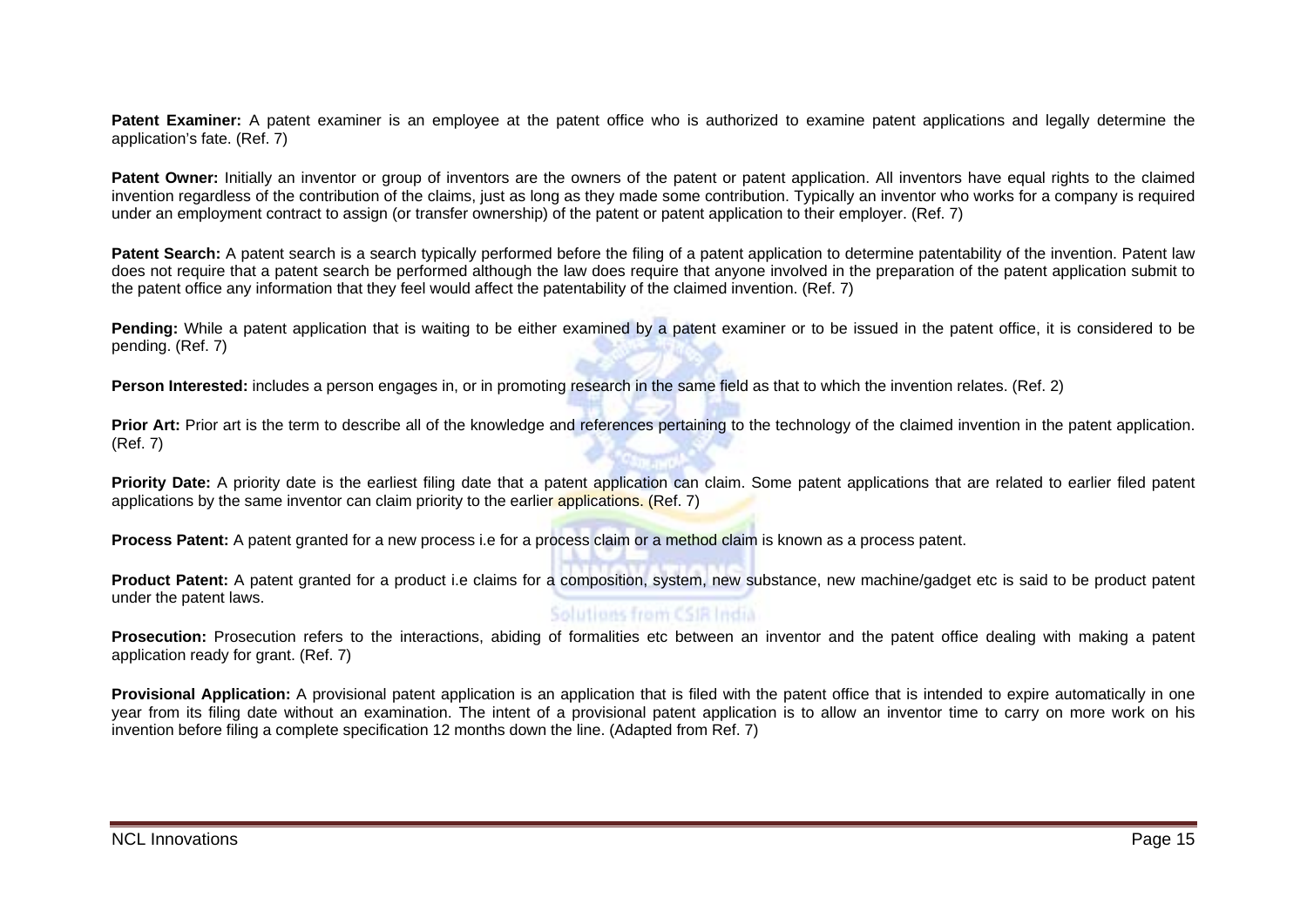**Patent Examiner:** A patent examiner is an employee at the patent office who is authorized to examine patent applications and legally determine the application's fate. (Ref. 7)

Patent Owner: Initially an inventor or group of inventors are the owners of the patent or patent application. All inventors have equal rights to the claimed invention regardless of the contribution of the claims, just as long as they made some contribution. Typically an inventor who works for a company is required under an employment contract to assign (or transfer ownership) of the patent or patent application to their employer. (Ref. 7)

**Patent Search:** A patent search is a search typically performed before the filing of a patent application to determine patentability of the invention. Patent law does not require that a patent search be performed although the law does require that anyone involved in the preparation of the patent application submit to the patent office any information that they feel would affect the patentability of the claimed invention. (Ref. 7)

**Pending:** While a patent application that is waiting to be either examined by a patent examiner or to be issued in the patent office, it is considered to be pending. (Ref. 7)

**Person Interested:** includes a person engages in, or in promoting research in the same field as that to which the invention relates. (Ref. 2)

**Prior Art:** Prior art is the term to describe all of the knowledge and references pertaining to the technology of the claimed invention in the patent application. (Ref. 7)

Priority Date: A priority date is the earliest filing date that a patent application can claim. Some patent applications that are related to earlier filed patent applications by the same inventor can claim priority to the earlier applications. (Ref. 7)

**Process Patent:** A patent granted for a new process i.e for a process claim or a method claim is known as a process patent.

**Product Patent:** A patent granted for a product i.e claims for a composition, system, new substance, new machine/gadget etc is said to be product patent under the patent laws.

### Solutions from CSIR India

Prosecution: Prosecution refers to the interactions, abiding of formalities etc between an inventor and the patent office dealing with making a patent application ready for grant. (Ref. 7)

**Provisional Application:** A provisional patent application is an application that is filed with the patent office that is intended to expire automatically in one year from its filing date without an examination. The intent of a provisional patent application is to allow an inventor time to carry on more work on his invention before filing a complete specification 12 months down the line. (Adapted from Ref. 7)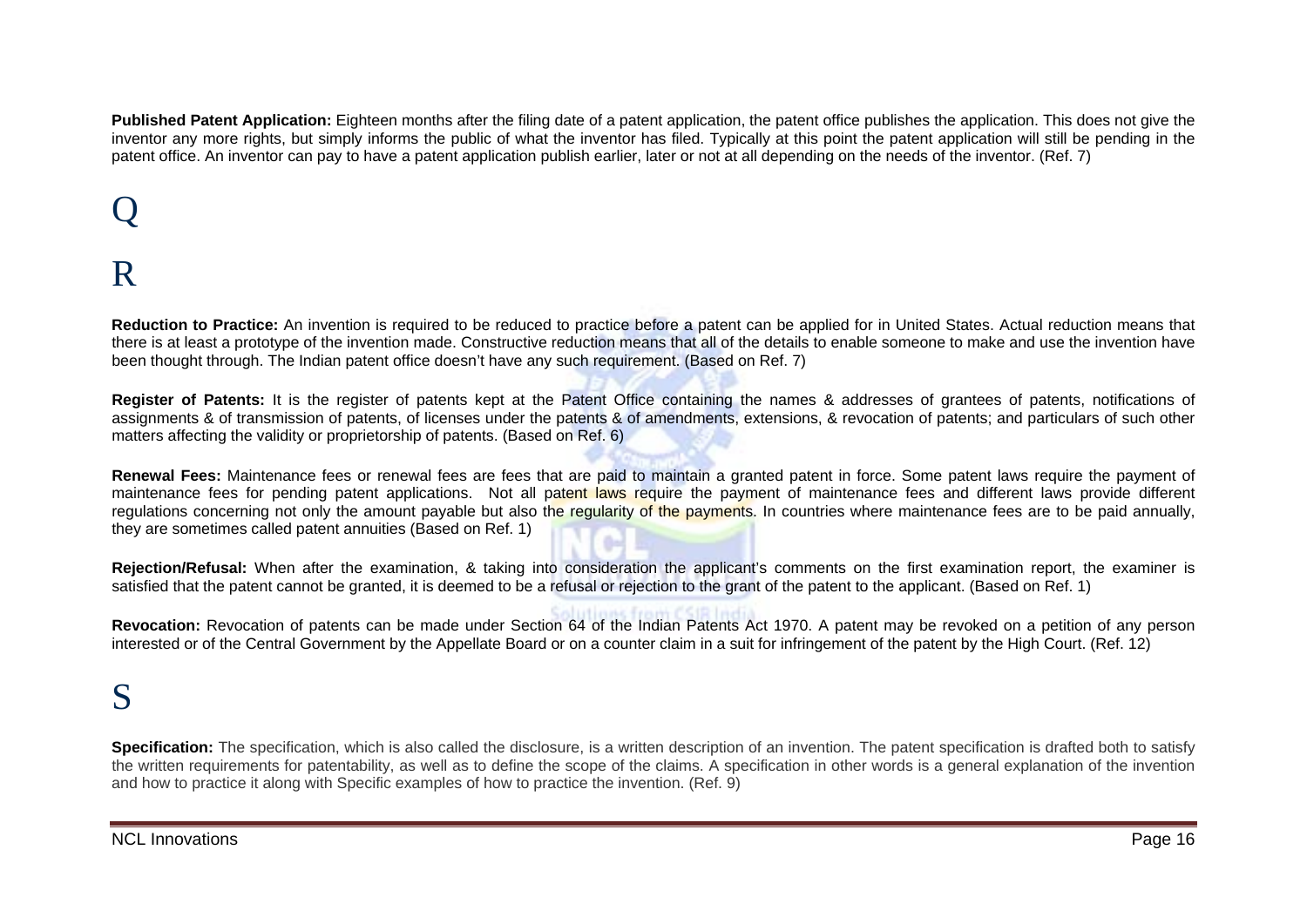**Published Patent Application:** Eighteen months after the filing date of a patent application, the patent office publishes the application. This does not give the inventor any more rights, but simply informs the public of what the inventor has filed. Typically at this point the patent application will still be pending in the patent office. An inventor can pay to have a patent application publish earlier, later or not at all depending on the needs of the inventor. (Ref. 7)

# $\overline{\mathcal{L}}$

# R

**Reduction to Practice:** An invention is required to be reduced to practice before a patent can be applied for in United States. Actual reduction means that there is at least a prototype of the invention made. Constructive reduction means that all of the details to enable someone to make and use the invention have been thought through. The Indian patent office doesn't have any such requirement. (Based on Ref. 7)

**Register of Patents:** It is the register of patents kept at the Patent Office containing the names & addresses of grantees of patents, notifications of assignments & of transmission of patents, of licenses under the patents & of amendments, extensions, & revocation of patents; and particulars of such other matters affecting the validity or proprietorship of patents. (Based on Ref. 6)

**Renewal Fees:** Maintenance fees or renewal fees are fees that are paid to maintain a granted patent in force. Some patent laws require the payment of maintenance fees for pending patent applications. Not all patent laws require the payment of maintenance fees and different laws provide different regulations concerning not only the amount payable but also the regularity of the payments. In countries where maintenance fees are to be paid annually, they are sometimes called patent annuities (Based on Ref. 1)

**Rejection/Refusal:** When after the examination, & taking into consideration the applicant's comments on the first examination report, the examiner is satisfied that the patent cannot be granted, it is deemed to be a refusal or rejection to the grant of the patent to the applicant. (Based on Ref. 1)

**Revocation:** Revocation of patents can be made under Section 64 of the Indian Patents Act 1970. A patent may be revoked on a petition of any person interested or of the Central Government by the Appellate Board or on a counter claim in a suit for infringement of the patent by the High Court. (Ref. 12)

### S

**Specification:** The specification, which is also called the disclosure, is a written description of an invention. The patent specification is drafted both to satisfy the written requirements for patentability, as well as to define the scope of the claims. A specification in other words is a general explanation of the invention and how to practice it along with Specific examples of how to practice the invention. (Ref. 9)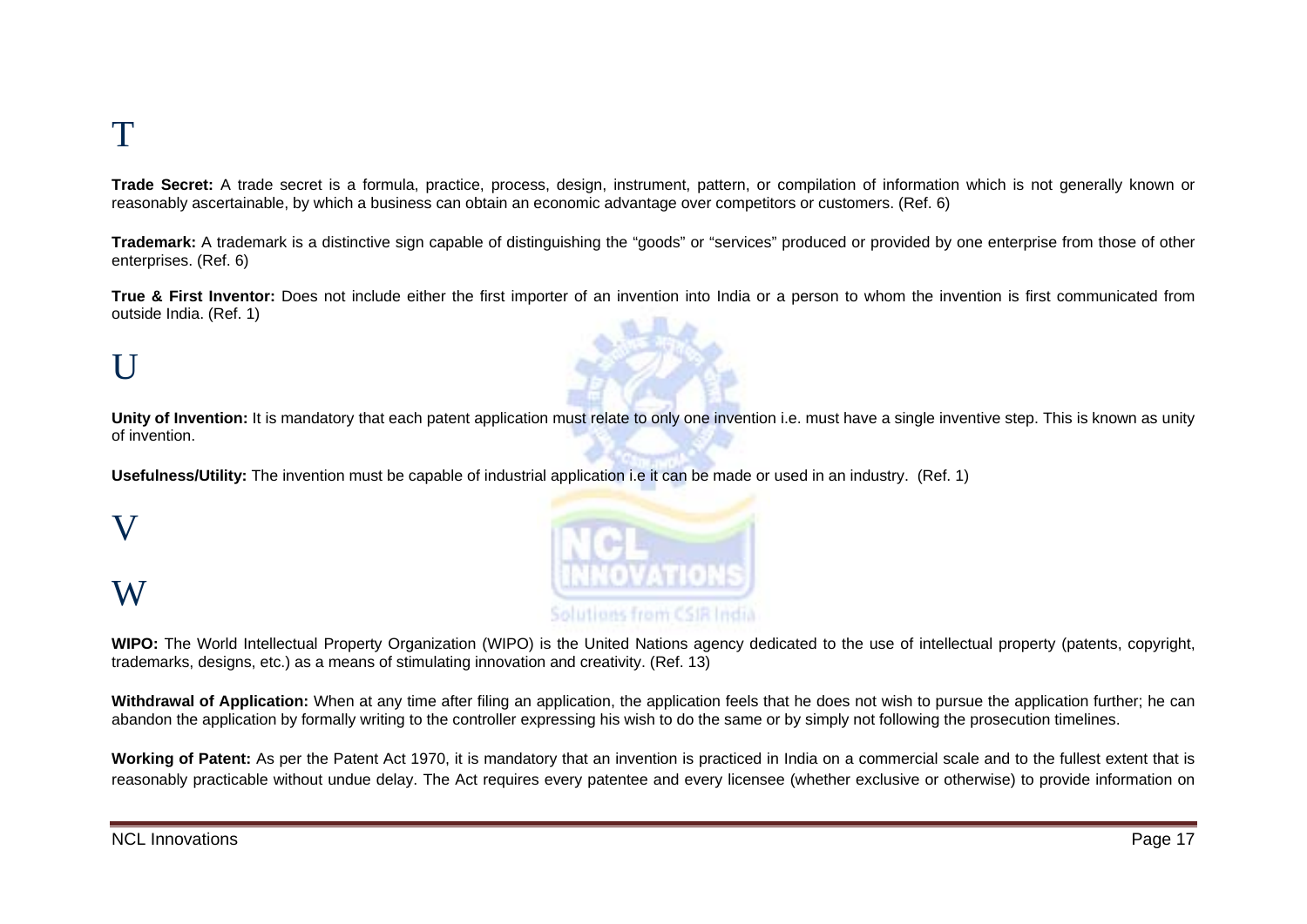**Trade Secret:** A trade secret is a formula, practice, process, design, instrument, pattern, or compilation of information which is not generally known or reasonably ascertainable, by which a business can obtain an economic advantage over competitors or customers. (Ref. 6)

**Trademark:** A trademark is a distinctive sign capable of distinguishing the "goods" or "services" produced or provided by one enterprise from those of other enterprises. (Ref. 6)

**True & First Inventor:** Does not include either the first importer of an invention into India or a person to whom the invention is first communicated from outside India. (Ref. 1)

# U

Unity of Invention: It is mandatory that each patent application must relate to only one invention i.e. must have a single inventive step. This is known as unity of invention.

**Usefulness/Utility:** The invention must be capable of industrial application i.e it can be made or used in an industry. (Ref. 1)

V

### W



**WIPO:** The World Intellectual Property Organization (WIPO) is the United Nations agency dedicated to the use of intellectual property (patents, copyright, trademarks, designs, etc.) as a means of stimulating innovation and creativity. (Ref. 13)

**Withdrawal of Application:** When at any time after filing an application, the application feels that he does not wish to pursue the application further; he can abandon the application by formally writing to the controller expressing his wish to do the same or by simply not following the prosecution timelines.

**Working of Patent:** As per the Patent Act 1970, it is mandatory that an invention is practiced in India on a commercial scale and to the fullest extent that is reasonably practicable without undue delay. The Act requires every patentee and every licensee (whether exclusive or otherwise) to provide information on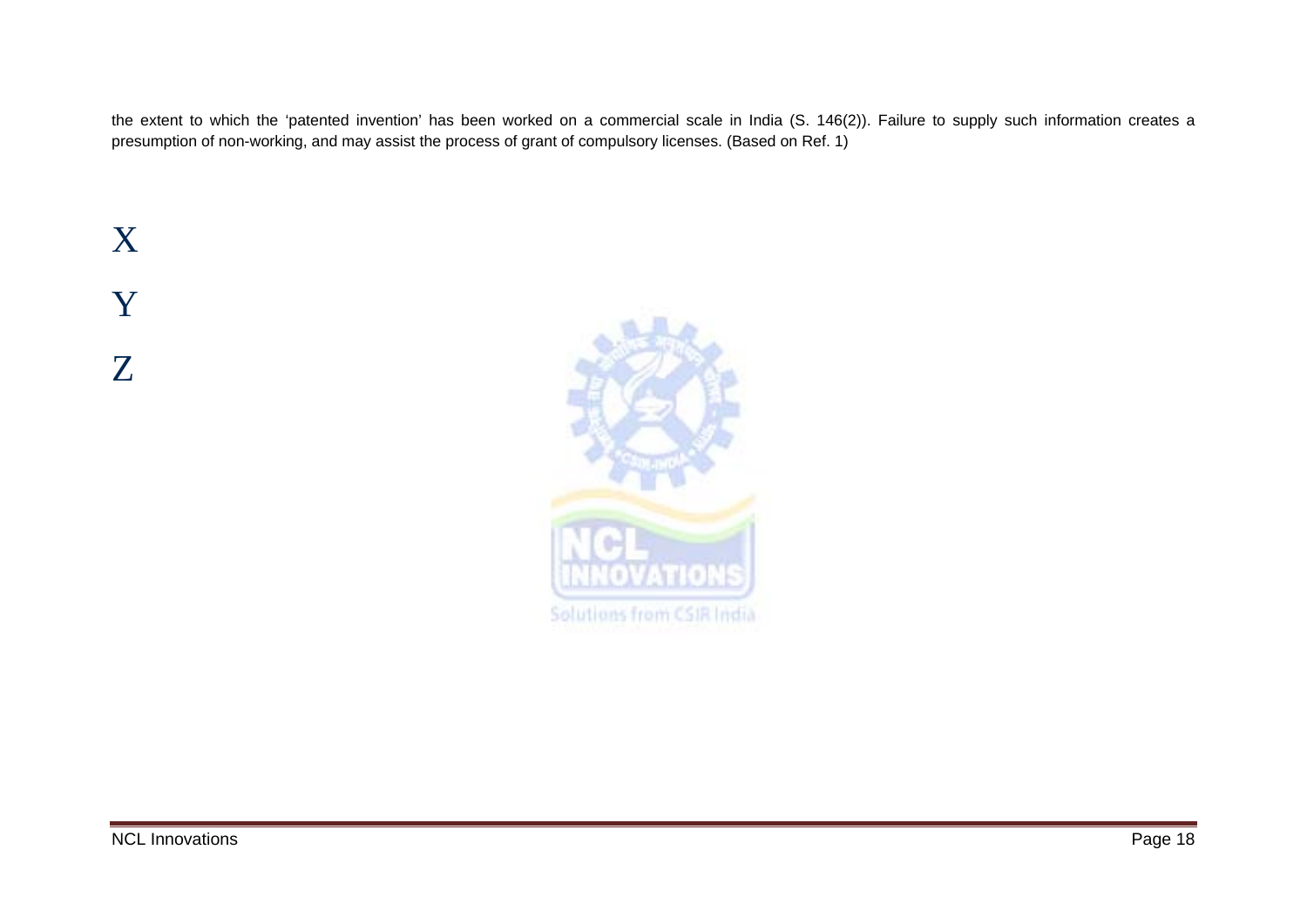the extent to which the 'patented invention' has been worked on a commercial scale in India (S. 146(2)). Failure to supply such information creates a presumption of non-working, and may assist the process of grant of compulsory licenses. (Based on Ref. 1)

XYZ

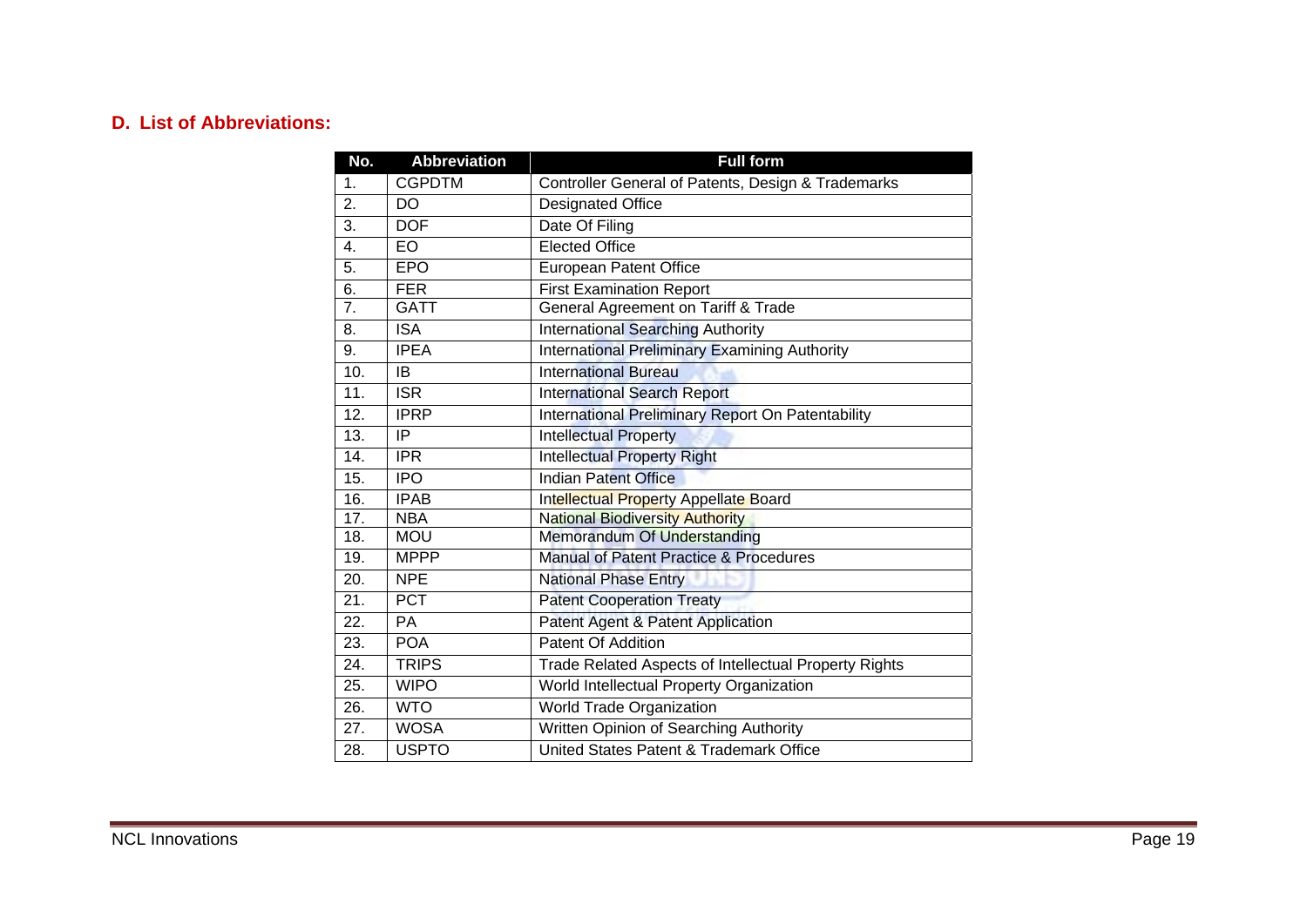### **D. List of Abbreviations:**

| No.               | <b>Abbreviation</b> | <b>Full form</b>                                      |
|-------------------|---------------------|-------------------------------------------------------|
| 1.                | <b>CGPDTM</b>       | Controller General of Patents, Design & Trademarks    |
| 2.                | <b>DO</b>           | <b>Designated Office</b>                              |
| 3.                | <b>DOF</b>          | Date Of Filing                                        |
| 4.                | $E$ O               | <b>Elected Office</b>                                 |
| 5.                | <b>EPO</b>          | European Patent Office                                |
| 6.                | <b>FER</b>          | <b>First Examination Report</b>                       |
| $\overline{7}$ .  | <b>GATT</b>         | General Agreement on Tariff & Trade                   |
| 8.                | <b>ISA</b>          | <b>International Searching Authority</b>              |
| 9.                | <b>IPEA</b>         | International Preliminary Examining Authority         |
| 10.               | IB                  | <b>International Bureau</b>                           |
| 11.               | <b>ISR</b>          | <b>International Search Report</b>                    |
| 12.               | <b>IPRP</b>         | International Preliminary Report On Patentability     |
| 13.               | IP                  | <b>Intellectual Property</b>                          |
| 14.               | <b>IPR</b>          | <b>Intellectual Property Right</b>                    |
| 15.               | <b>IPO</b>          | <b>Indian Patent Office</b>                           |
| 16.               | <b>IPAB</b>         | Intellectual Property Appellate Board                 |
| $\overline{17}$ . | <b>NBA</b>          | <b>National Biodiversity Authority</b>                |
| 18.               | <b>MOU</b>          | Memorandum Of Understanding                           |
| 19.               | <b>MPPP</b>         | Manual of Patent Practice & Procedures                |
| 20.               | <b>NPE</b>          | <b>National Phase Entry</b>                           |
| 21.               | <b>PCT</b>          | <b>Patent Cooperation Treaty</b>                      |
| 22.               | <b>PA</b>           | Patent Agent & Patent Application                     |
| 23.               | <b>POA</b>          | <b>Patent Of Addition</b>                             |
| 24.               | <b>TRIPS</b>        | Trade Related Aspects of Intellectual Property Rights |
| 25.               | <b>WIPO</b>         | World Intellectual Property Organization              |
| 26.               | <b>WTO</b>          | World Trade Organization                              |
| 27.               | <b>WOSA</b>         | Written Opinion of Searching Authority                |
| 28.               | <b>USPTO</b>        | United States Patent & Trademark Office               |